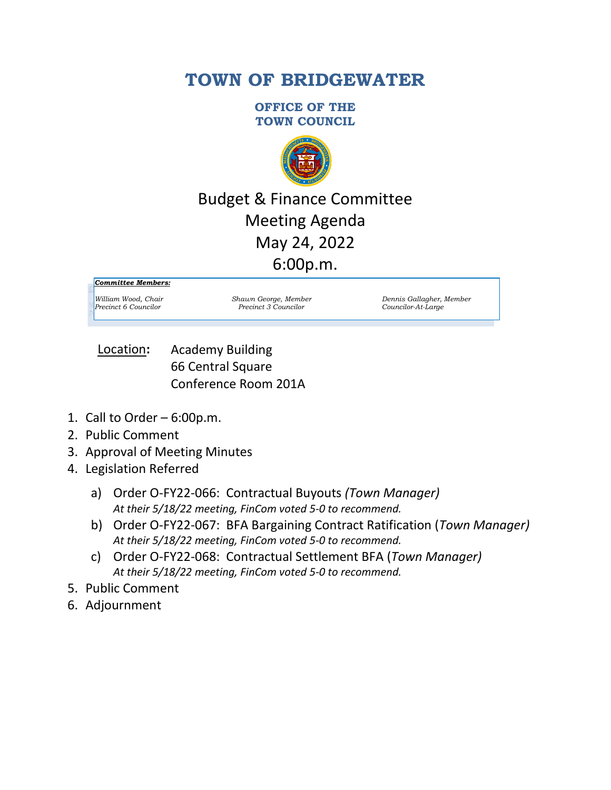# **TOWN OF BRIDGEWATER**

**OFFICE OF THE TOWN COUNCIL**



# Budget & Finance Committee Meeting Agenda May 24, 2022 6:00p.m.

*Committee Members:*

*Precinct 6 Councilor Precinct 3 Councilor Councilor-At-Large*

*William Wood, Chair Shawn George, Member Dennis Gallagher, Member*

Academy Building 66 Central Square Conference Room 201A Location**:**

- 1. Call to Order  $-6:00p.m.$
- 2. Public Comment
- 3. Approval of Meeting Minutes
- 4. Legislation Referred
	- a) Order O-FY22-066: Contractual Buyouts *(Town Manager) At their 5/18/22 meeting, FinCom voted 5-0 to recommend.*
	- b) Order O-FY22-067: BFA Bargaining Contract Ratification (*Town Manager) At their 5/18/22 meeting, FinCom voted 5-0 to recommend.*
	- c) Order O-FY22-068: Contractual Settlement BFA (*Town Manager) At their 5/18/22 meeting, FinCom voted 5-0 to recommend.*
- 5. Public Comment
- 6. Adjournment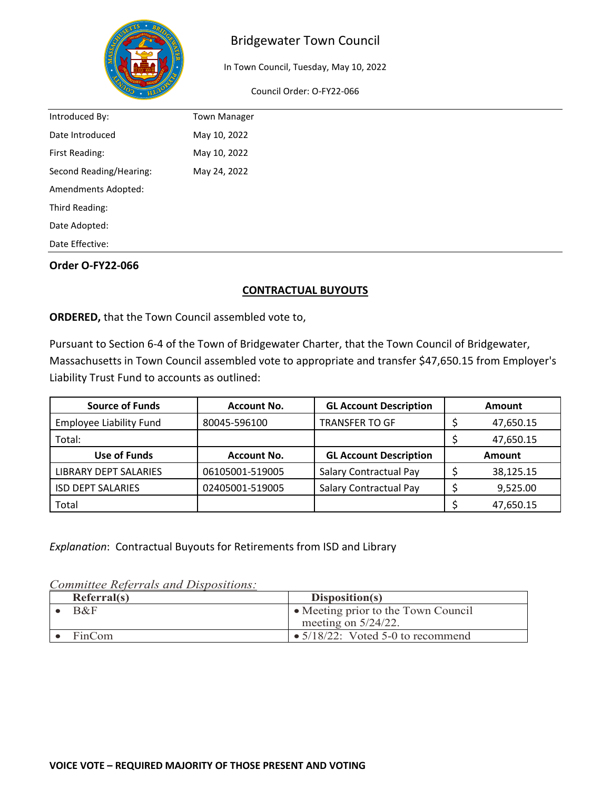

## Bridgewater Town Council

In Town Council, Tuesday, May 10, 2022

Council Order: O-FY22-066

| Introduced By:          | <b>Town Manager</b> |  |
|-------------------------|---------------------|--|
| Date Introduced         | May 10, 2022        |  |
| First Reading:          | May 10, 2022        |  |
| Second Reading/Hearing: | May 24, 2022        |  |
| Amendments Adopted:     |                     |  |
| Third Reading:          |                     |  |
| Date Adopted:           |                     |  |
| Date Effective:         |                     |  |

#### **Order O-FY22-066**

#### **CONTRACTUAL BUYOUTS**

**ORDERED,** that the Town Council assembled vote to,

Pursuant to Section 6-4 of the Town of Bridgewater Charter, that the Town Council of Bridgewater, Massachusetts in Town Council assembled vote to appropriate and transfer \$47,650.15 from Employer's Liability Trust Fund to accounts as outlined:

| <b>Source of Funds</b>         | <b>Account No.</b> | <b>GL Account Description</b> | Amount        |           |
|--------------------------------|--------------------|-------------------------------|---------------|-----------|
| <b>Employee Liability Fund</b> | 80045-596100       | <b>TRANSFER TO GF</b>         |               | 47,650.15 |
| Total:                         |                    |                               |               | 47,650.15 |
| Use of Funds                   | <b>Account No.</b> | <b>GL Account Description</b> | <b>Amount</b> |           |
| LIBRARY DEPT SALARIES          | 06105001-519005    | <b>Salary Contractual Pay</b> |               | 38,125.15 |
| <b>ISD DEPT SALARIES</b>       | 02405001-519005    | Salary Contractual Pay        |               | 9,525.00  |
| Total                          |                    |                               |               | 47,650.15 |

*Explanation*: Contractual Buyouts for Retirements from ISD and Library

*Committee Referrals and Dispositions:*

| Referral(s) | Disposition(s)                            |
|-------------|-------------------------------------------|
| $B\&F$      | • Meeting prior to the Town Council       |
|             | meeting on $5/24/22$ .                    |
| FinCom      | $\bullet$ 5/18/22: Voted 5-0 to recommend |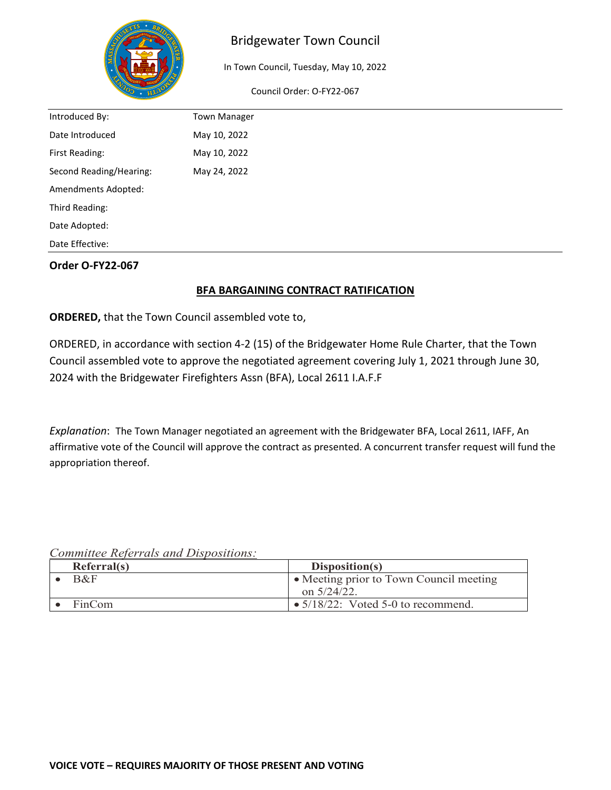

## Bridgewater Town Council

In Town Council, Tuesday, May 10, 2022

Council Order: O-FY22-067

| Introduced By:          | <b>Town Manager</b> |  |
|-------------------------|---------------------|--|
| Date Introduced         | May 10, 2022        |  |
| First Reading:          | May 10, 2022        |  |
| Second Reading/Hearing: | May 24, 2022        |  |
| Amendments Adopted:     |                     |  |
| Third Reading:          |                     |  |
| Date Adopted:           |                     |  |
| Date Effective:         |                     |  |

#### **Order O-FY22-067**

### **BFA BARGAINING CONTRACT RATIFICATION**

**ORDERED,** that the Town Council assembled vote to,

ORDERED, in accordance with section 4-2 (15) of the Bridgewater Home Rule Charter, that the Town Council assembled vote to approve the negotiated agreement covering July 1, 2021 through June 30, 2024 with the Bridgewater Firefighters Assn (BFA), Local 2611 I.A.F.F

*Explanation*: The Town Manager negotiated an agreement with the Bridgewater BFA, Local 2611, IAFF, An affirmative vote of the Council will approve the contract as presented. A concurrent transfer request will fund the appropriation thereof.

*Committee Referrals and Dispositions:*

| Referral(s) | Disposition(s)                             |
|-------------|--------------------------------------------|
| $R\&F$      | • Meeting prior to Town Council meeting    |
|             | on $5/24/22$ .                             |
| FinCom      | $\bullet$ 5/18/22: Voted 5-0 to recommend. |